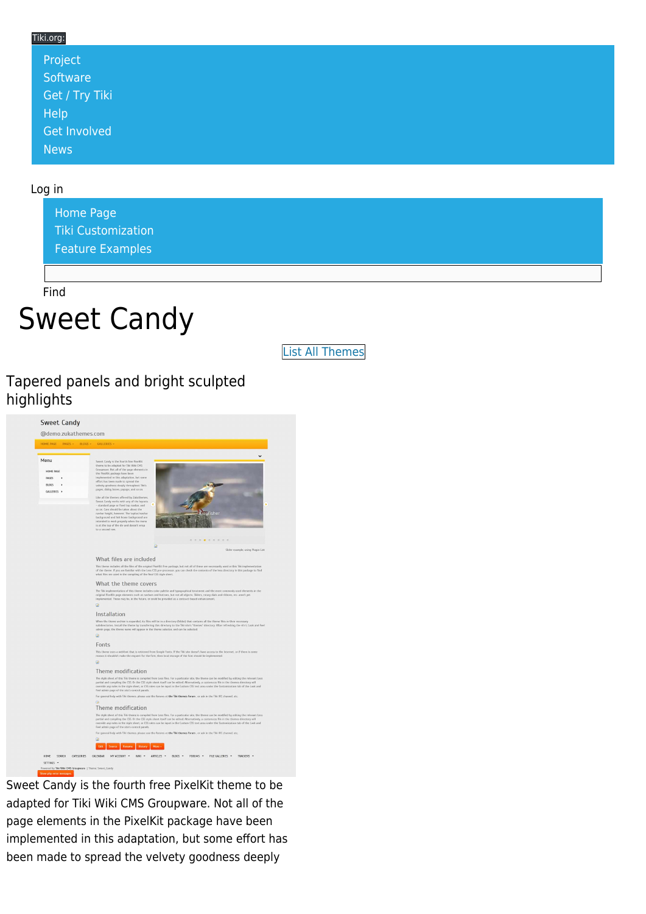#### Tiki.org: [Project](https://tiki.org/Project Introduction) **[Software](https://tiki.org/Software Overview and Model)** [Get / Try Tiki](https://tiki.org/Get Tiki - Try Tiki) **[Help](https://tiki.org/Get Help)** [Get Involved](https://tiki.org/Get Involved)

Log in

[News](https://tiki.org/News)

[Home Page](https://themes.tiki.org/Themes) [Tiki Customization](https://themes.tiki.org/Tiki-Customization) [Feature Examples](#page--1-0)

Find

# Sweet Candy

[List All Themes](https://themes.tiki.org/marketplace%20themes)

#### Tapered panels and bright sculpted highlights



Sweet Candy is the fourth free PixelKit theme to be adapted for Tiki Wiki CMS Groupware. Not all of the page elements in the PixelKit package have been implemented in this adaptation, but some effort has been made to spread the velvety goodness deeply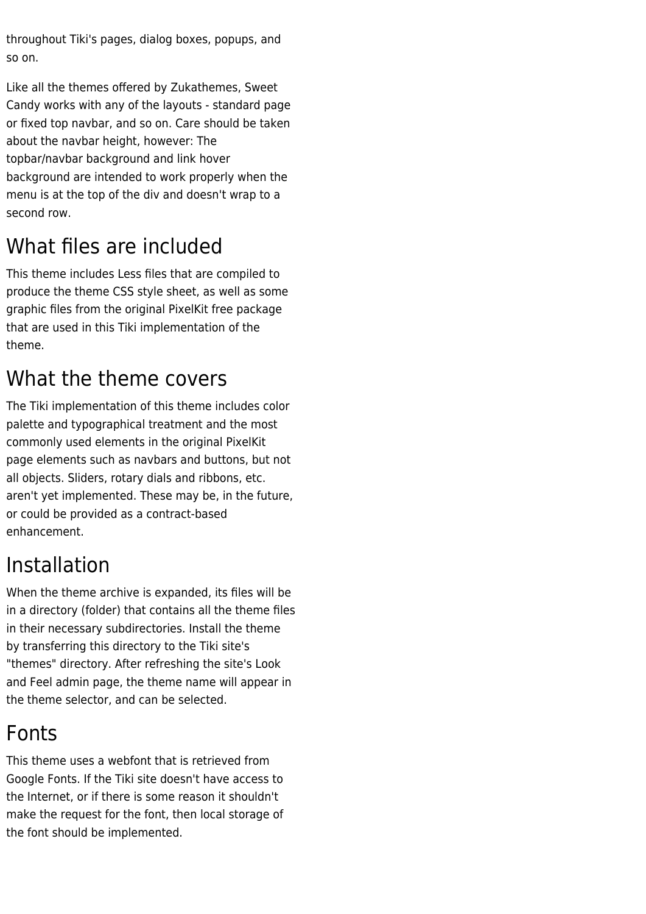throughout Tiki's pages, dialog boxes, popups, and so on.

Like all the themes offered by Zukathemes, Sweet Candy works with any of the layouts - standard page or fixed top navbar, and so on. Care should be taken about the navbar height, however: The topbar/navbar background and link hover background are intended to work properly when the menu is at the top of the div and doesn't wrap to a second row.

# What files are included

This theme includes Less files that are compiled to produce the theme CSS style sheet, as well as some graphic files from the original PixelKit free package that are used in this Tiki implementation of the theme.

# What the theme covers

The Tiki implementation of this theme includes color palette and typographical treatment and the most commonly used elements in the original PixelKit page elements such as navbars and buttons, but not all objects. Sliders, rotary dials and ribbons, etc. aren't yet implemented. These may be, in the future, or could be provided as a contract-based enhancement.

## Installation

When the theme archive is expanded, its files will be in a directory (folder) that contains all the theme files in their necessary subdirectories. Install the theme by transferring this directory to the Tiki site's "themes" directory. After refreshing the site's Look and Feel admin page, the theme name will appear in the theme selector, and can be selected.

## Fonts

This theme uses a webfont that is retrieved from Google Fonts. If the Tiki site doesn't have access to the Internet, or if there is some reason it shouldn't make the request for the font, then local storage of the font should be implemented.